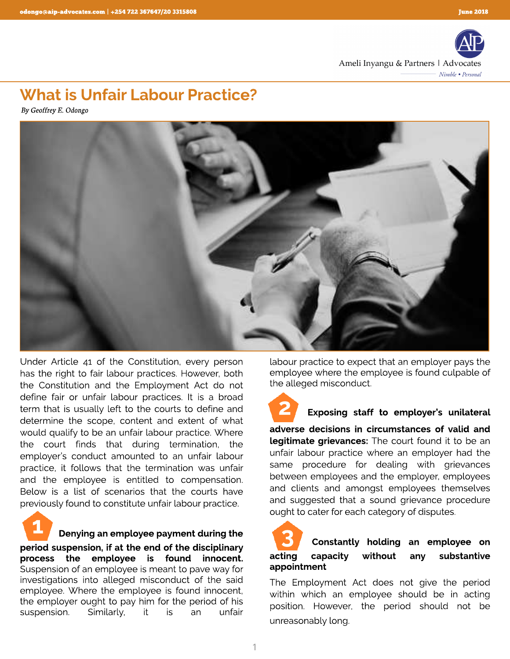

## *What is Unfair Labour Practice?*

**By Geoffrey E. Odongo**



Under Article 41 of the Constitution, every person has the right to fair labour practices. However, both the Constitution and the Employment Act do not define fair or unfair labour practices. It is a broad term that is usually left to the courts to define and determine the scope, content and extent of what would qualify to be an unfair labour practice. Where the court finds that during termination, the employer's conduct amounted to an unfair labour practice, it follows that the termination was unfair and the employee is entitled to compensation. Below is a list of scenarios that the courts have previously found to constitute unfair labour practice.

*1*

 *Denying an employee payment during the* 

*period suspension, if at the end of the disciplinary process the employee is found innocent.*  Suspension of an employee is meant to pave way for investigations into alleged misconduct of the said employee. Where the employee is found innocent, the employer ought to pay him for the period of his suspension. Similarly, it is an unfair

labour practice to expect that an employer pays the employee where the employee is found culpable of the alleged misconduct.

 *Exposing staff to employer?s unilateral 2*

*adverse decisions in circumstances of valid and legitimate grievances:* The court found it to be an unfair labour practice where an employer had the same procedure for dealing with grievances between employees and the employer, employees and clients and amongst employees themselves and suggested that a sound grievance procedure ought to cater for each category of disputes.

## *Constantly holding an employee on acting capacity without any substantive appointment 3*

The Employment Act does not give the period within which an employee should be in acting position. However, the period should not be unreasonably long.